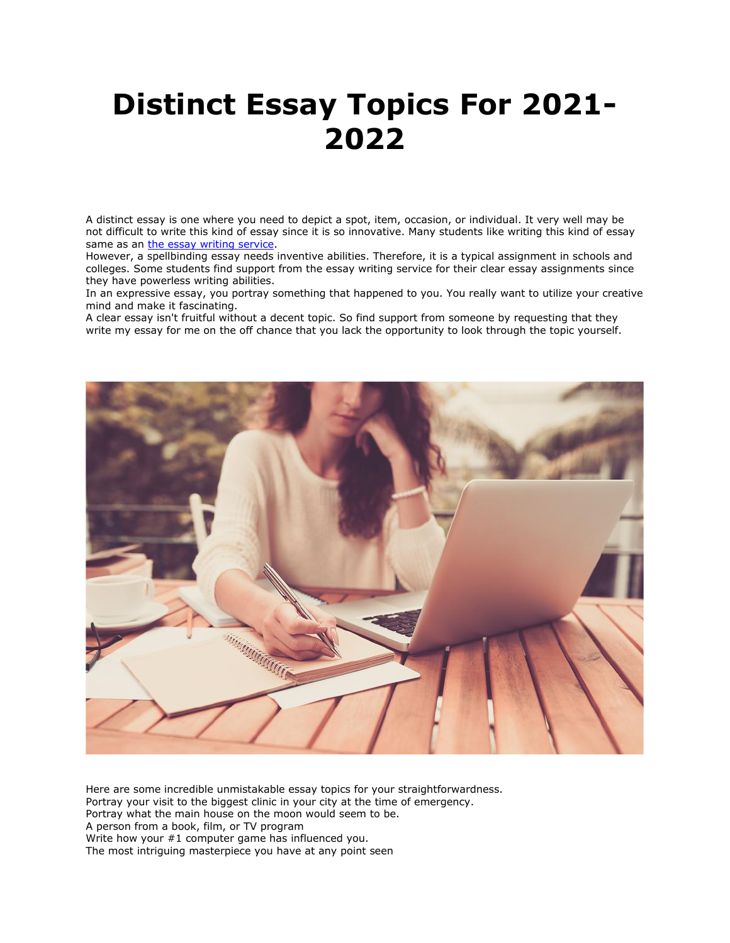## **Distinct Essay Topics For 2021- 2022**

A distinct essay is one where you need to depict a spot, item, occasion, or individual. It very well may be not difficult to write this kind of essay since it is so innovative. Many students like writing this kind of essay same as an [the essay writing service.](https://theessaywritingservice.com/)

However, a spellbinding essay needs inventive abilities. Therefore, it is a typical assignment in schools and colleges. Some students find support from the essay writing service for their clear essay assignments since they have powerless writing abilities.

In an expressive essay, you portray something that happened to you. You really want to utilize your creative mind and make it fascinating.

A clear essay isn't fruitful without a decent topic. So find support from someone by requesting that they write my essay for me on the off chance that you lack the opportunity to look through the topic yourself.



Here are some incredible unmistakable essay topics for your straightforwardness. Portray your visit to the biggest clinic in your city at the time of emergency. Portray what the main house on the moon would seem to be. A person from a book, film, or TV program Write how your #1 computer game has influenced you. The most intriguing masterpiece you have at any point seen